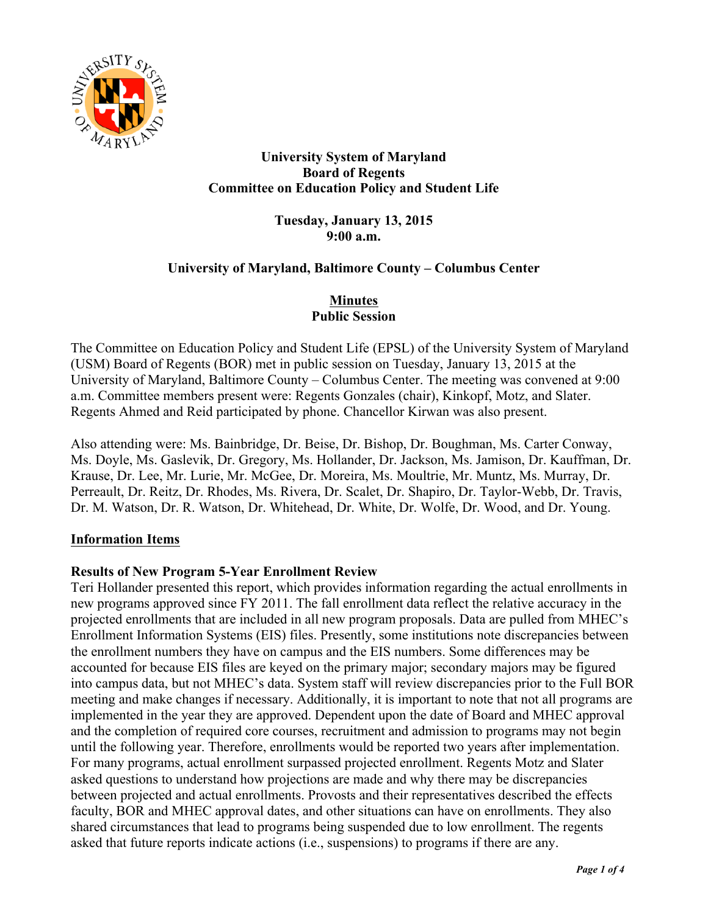

# **University System of Maryland Board of Regents Committee on Education Policy and Student Life**

**Tuesday, January 13, 2015 9:00 a.m.**

## **University of Maryland, Baltimore County – Columbus Center**

# **Minutes Public Session**

The Committee on Education Policy and Student Life (EPSL) of the University System of Maryland (USM) Board of Regents (BOR) met in public session on Tuesday, January 13, 2015 at the University of Maryland, Baltimore County – Columbus Center. The meeting was convened at 9:00 a.m. Committee members present were: Regents Gonzales (chair), Kinkopf, Motz, and Slater. Regents Ahmed and Reid participated by phone. Chancellor Kirwan was also present.

Also attending were: Ms. Bainbridge, Dr. Beise, Dr. Bishop, Dr. Boughman, Ms. Carter Conway, Ms. Doyle, Ms. Gaslevik, Dr. Gregory, Ms. Hollander, Dr. Jackson, Ms. Jamison, Dr. Kauffman, Dr. Krause, Dr. Lee, Mr. Lurie, Mr. McGee, Dr. Moreira, Ms. Moultrie, Mr. Muntz, Ms. Murray, Dr. Perreault, Dr. Reitz, Dr. Rhodes, Ms. Rivera, Dr. Scalet, Dr. Shapiro, Dr. Taylor-Webb, Dr. Travis, Dr. M. Watson, Dr. R. Watson, Dr. Whitehead, Dr. White, Dr. Wolfe, Dr. Wood, and Dr. Young.

## **Information Items**

## **Results of New Program 5-Year Enrollment Review**

Teri Hollander presented this report, which provides information regarding the actual enrollments in new programs approved since FY 2011. The fall enrollment data reflect the relative accuracy in the projected enrollments that are included in all new program proposals. Data are pulled from MHEC's Enrollment Information Systems (EIS) files. Presently, some institutions note discrepancies between the enrollment numbers they have on campus and the EIS numbers. Some differences may be accounted for because EIS files are keyed on the primary major; secondary majors may be figured into campus data, but not MHEC's data. System staff will review discrepancies prior to the Full BOR meeting and make changes if necessary. Additionally, it is important to note that not all programs are implemented in the year they are approved. Dependent upon the date of Board and MHEC approval and the completion of required core courses, recruitment and admission to programs may not begin until the following year. Therefore, enrollments would be reported two years after implementation. For many programs, actual enrollment surpassed projected enrollment. Regents Motz and Slater asked questions to understand how projections are made and why there may be discrepancies between projected and actual enrollments. Provosts and their representatives described the effects faculty, BOR and MHEC approval dates, and other situations can have on enrollments. They also shared circumstances that lead to programs being suspended due to low enrollment. The regents asked that future reports indicate actions (i.e., suspensions) to programs if there are any.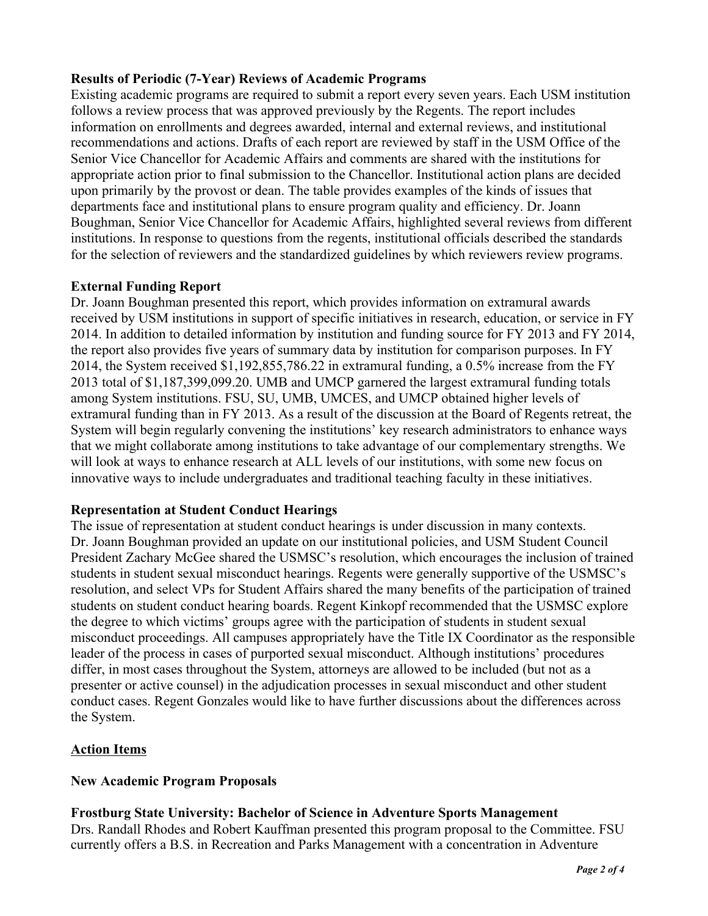## **Results of Periodic (7-Year) Reviews of Academic Programs**

Existing academic programs are required to submit a report every seven years. Each USM institution follows a review process that was approved previously by the Regents. The report includes information on enrollments and degrees awarded, internal and external reviews, and institutional recommendations and actions. Drafts of each report are reviewed by staff in the USM Office of the Senior Vice Chancellor for Academic Affairs and comments are shared with the institutions for appropriate action prior to final submission to the Chancellor. Institutional action plans are decided upon primarily by the provost or dean. The table provides examples of the kinds of issues that departments face and institutional plans to ensure program quality and efficiency. Dr. Joann Boughman, Senior Vice Chancellor for Academic Affairs, highlighted several reviews from different institutions. In response to questions from the regents, institutional officials described the standards for the selection of reviewers and the standardized guidelines by which reviewers review programs.

#### **External Funding Report**

Dr. Joann Boughman presented this report, which provides information on extramural awards received by USM institutions in support of specific initiatives in research, education, or service in FY 2014. In addition to detailed information by institution and funding source for FY 2013 and FY 2014, the report also provides five years of summary data by institution for comparison purposes. In FY 2014, the System received \$1,192,855,786.22 in extramural funding, a 0.5% increase from the FY 2013 total of \$1,187,399,099.20. UMB and UMCP garnered the largest extramural funding totals among System institutions. FSU, SU, UMB, UMCES, and UMCP obtained higher levels of extramural funding than in FY 2013. As a result of the discussion at the Board of Regents retreat, the System will begin regularly convening the institutions' key research administrators to enhance ways that we might collaborate among institutions to take advantage of our complementary strengths. We will look at ways to enhance research at ALL levels of our institutions, with some new focus on innovative ways to include undergraduates and traditional teaching faculty in these initiatives.

## **Representation at Student Conduct Hearings**

The issue of representation at student conduct hearings is under discussion in many contexts. Dr. Joann Boughman provided an update on our institutional policies, and USM Student Council President Zachary McGee shared the USMSC's resolution, which encourages the inclusion of trained students in student sexual misconduct hearings. Regents were generally supportive of the USMSC's resolution, and select VPs for Student Affairs shared the many benefits of the participation of trained students on student conduct hearing boards. Regent Kinkopf recommended that the USMSC explore the degree to which victims' groups agree with the participation of students in student sexual misconduct proceedings. All campuses appropriately have the Title IX Coordinator as the responsible leader of the process in cases of purported sexual misconduct. Although institutions' procedures differ, in most cases throughout the System, attorneys are allowed to be included (but not as a presenter or active counsel) in the adjudication processes in sexual misconduct and other student conduct cases. Regent Gonzales would like to have further discussions about the differences across the System.

## **Action Items**

#### **New Academic Program Proposals**

## **Frostburg State University: Bachelor of Science in Adventure Sports Management**

Drs. Randall Rhodes and Robert Kauffman presented this program proposal to the Committee. FSU currently offers a B.S. in Recreation and Parks Management with a concentration in Adventure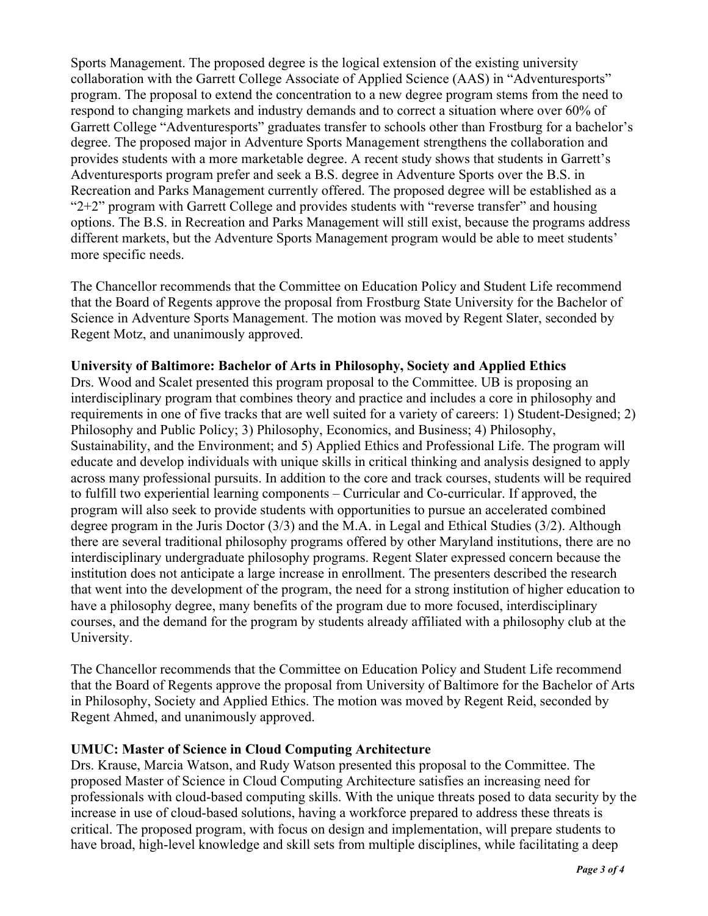Sports Management. The proposed degree is the logical extension of the existing university collaboration with the Garrett College Associate of Applied Science (AAS) in "Adventuresports" program. The proposal to extend the concentration to a new degree program stems from the need to respond to changing markets and industry demands and to correct a situation where over 60% of Garrett College "Adventuresports" graduates transfer to schools other than Frostburg for a bachelor's degree. The proposed major in Adventure Sports Management strengthens the collaboration and provides students with a more marketable degree. A recent study shows that students in Garrett's Adventuresports program prefer and seek a B.S. degree in Adventure Sports over the B.S. in Recreation and Parks Management currently offered. The proposed degree will be established as a "2+2" program with Garrett College and provides students with "reverse transfer" and housing options. The B.S. in Recreation and Parks Management will still exist, because the programs address different markets, but the Adventure Sports Management program would be able to meet students' more specific needs.

The Chancellor recommends that the Committee on Education Policy and Student Life recommend that the Board of Regents approve the proposal from Frostburg State University for the Bachelor of Science in Adventure Sports Management. The motion was moved by Regent Slater, seconded by Regent Motz, and unanimously approved.

#### **University of Baltimore: Bachelor of Arts in Philosophy, Society and Applied Ethics**

Drs. Wood and Scalet presented this program proposal to the Committee. UB is proposing an interdisciplinary program that combines theory and practice and includes a core in philosophy and requirements in one of five tracks that are well suited for a variety of careers: 1) Student-Designed; 2) Philosophy and Public Policy; 3) Philosophy, Economics, and Business; 4) Philosophy, Sustainability, and the Environment; and 5) Applied Ethics and Professional Life. The program will educate and develop individuals with unique skills in critical thinking and analysis designed to apply across many professional pursuits. In addition to the core and track courses, students will be required to fulfill two experiential learning components – Curricular and Co-curricular. If approved, the program will also seek to provide students with opportunities to pursue an accelerated combined degree program in the Juris Doctor (3/3) and the M.A. in Legal and Ethical Studies (3/2). Although there are several traditional philosophy programs offered by other Maryland institutions, there are no interdisciplinary undergraduate philosophy programs. Regent Slater expressed concern because the institution does not anticipate a large increase in enrollment. The presenters described the research that went into the development of the program, the need for a strong institution of higher education to have a philosophy degree, many benefits of the program due to more focused, interdisciplinary courses, and the demand for the program by students already affiliated with a philosophy club at the University.

The Chancellor recommends that the Committee on Education Policy and Student Life recommend that the Board of Regents approve the proposal from University of Baltimore for the Bachelor of Arts in Philosophy, Society and Applied Ethics. The motion was moved by Regent Reid, seconded by Regent Ahmed, and unanimously approved.

#### **UMUC: Master of Science in Cloud Computing Architecture**

Drs. Krause, Marcia Watson, and Rudy Watson presented this proposal to the Committee. The proposed Master of Science in Cloud Computing Architecture satisfies an increasing need for professionals with cloud-based computing skills. With the unique threats posed to data security by the increase in use of cloud-based solutions, having a workforce prepared to address these threats is critical. The proposed program, with focus on design and implementation, will prepare students to have broad, high-level knowledge and skill sets from multiple disciplines, while facilitating a deep